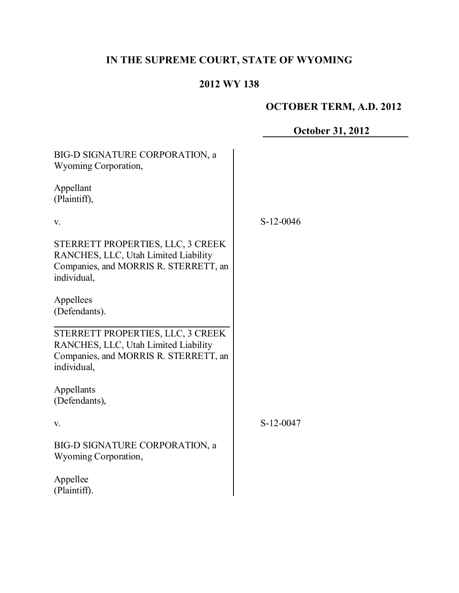# **IN THE SUPREME COURT, STATE OF WYOMING**

# **2012 WY 138**

# **OCTOBER TERM, A.D. 2012**

**October 31, 2012**

| BIG-D SIGNATURE CORPORATION, a<br><b>Wyoming Corporation,</b>                                                                     |             |
|-----------------------------------------------------------------------------------------------------------------------------------|-------------|
| Appellant<br>(Plaintiff),                                                                                                         |             |
| V.                                                                                                                                | $S-12-0046$ |
| STERRETT PROPERTIES, LLC, 3 CREEK<br>RANCHES, LLC, Utah Limited Liability<br>Companies, and MORRIS R. STERRETT, an<br>individual, |             |
| Appellees<br>(Defendants).                                                                                                        |             |
| STERRETT PROPERTIES, LLC, 3 CREEK<br>RANCHES, LLC, Utah Limited Liability<br>Companies, and MORRIS R. STERRETT, an<br>individual, |             |
| Appellants<br>(Defendants),                                                                                                       |             |
| V.                                                                                                                                | S-12-0047   |
| BIG-D SIGNATURE CORPORATION, a<br>Wyoming Corporation,                                                                            |             |
| Appellee<br>(Plaintiff).                                                                                                          |             |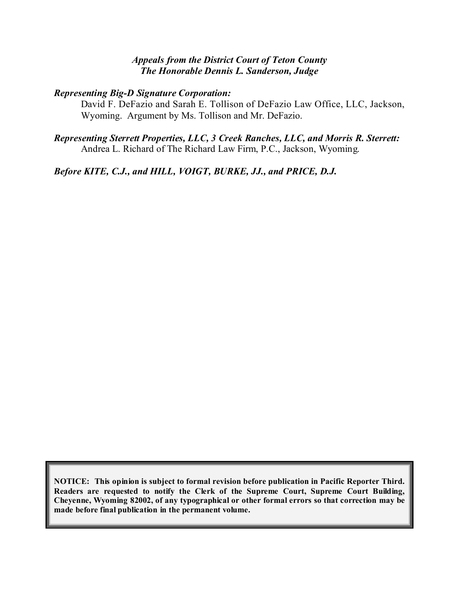### *Appeals from the District Court of Teton County The Honorable Dennis L. Sanderson, Judge*

# *Representing Big-D Signature Corporation:*

David F. DeFazio and Sarah E. Tollison of DeFazio Law Office, LLC, Jackson, Wyoming. Argument by Ms. Tollison and Mr. DeFazio.

#### *Representing Sterrett Properties, LLC, 3 Creek Ranches, LLC, and Morris R. Sterrett:* Andrea L. Richard of The Richard Law Firm, P.C., Jackson, Wyoming.

*Before KITE, C.J., and HILL, VOIGT, BURKE, JJ., and PRICE, D.J.*

**NOTICE: This opinion is subject to formal revision before publication in Pacific Reporter Third. Readers are requested to notify the Clerk of the Supreme Court, Supreme Court Building, Cheyenne, Wyoming 82002, of any typographical or other formal errors so that correction may be made before final publication in the permanent volume.**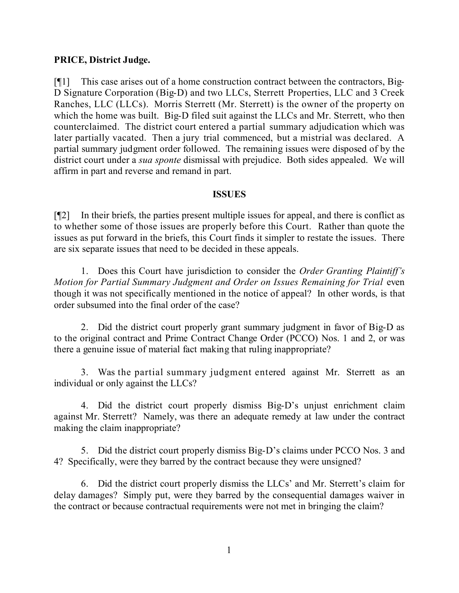#### **PRICE, District Judge.**

[¶1] This case arises out of a home construction contract between the contractors, Big-D Signature Corporation (Big-D) and two LLCs, Sterrett Properties, LLC and 3 Creek Ranches, LLC (LLCs). Morris Sterrett (Mr. Sterrett) is the owner of the property on which the home was built. Big-D filed suit against the LLCs and Mr. Sterrett, who then counterclaimed. The district court entered a partial summary adjudication which was later partially vacated. Then a jury trial commenced, but a mistrial was declared. A partial summary judgment order followed. The remaining issues were disposed of by the district court under a *sua sponte* dismissal with prejudice. Both sides appealed. We will affirm in part and reverse and remand in part.

#### **ISSUES**

[¶2] In their briefs, the parties present multiple issues for appeal, and there is conflict as to whether some of those issues are properly before this Court. Rather than quote the issues as put forward in the briefs, this Court finds it simpler to restate the issues. There are six separate issues that need to be decided in these appeals.

1. Does this Court have jurisdiction to consider the *Order Granting Plaintiff's Motion for Partial Summary Judgment and Order on Issues Remaining for Trial* even though it was not specifically mentioned in the notice of appeal? In other words, is that order subsumed into the final order of the case?

2. Did the district court properly grant summary judgment in favor of Big-D as to the original contract and Prime Contract Change Order (PCCO) Nos. 1 and 2, or was there a genuine issue of material fact making that ruling inappropriate?

3. Was the partial summary judgment entered against Mr. Sterrett as an individual or only against the LLCs?

4. Did the district court properly dismiss Big-D's unjust enrichment claim against Mr. Sterrett? Namely, was there an adequate remedy at law under the contract making the claim inappropriate?

5. Did the district court properly dismiss Big-D's claims under PCCO Nos. 3 and 4? Specifically, were they barred by the contract because they were unsigned?

6. Did the district court properly dismiss the LLCs' and Mr. Sterrett's claim for delay damages? Simply put, were they barred by the consequential damages waiver in the contract or because contractual requirements were not met in bringing the claim?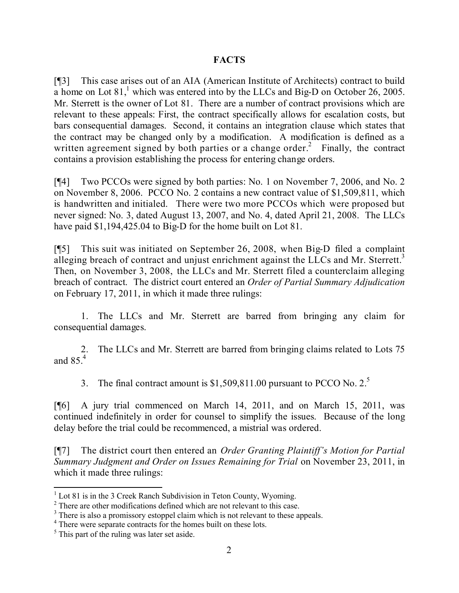# **FACTS**

[¶3] This case arises out of an AIA (American Institute of Architects) contract to build a home on Lot  $81<sup>1</sup>$ , which was entered into by the LLCs and Big-D on October 26, 2005. Mr. Sterrett is the owner of Lot 81. There are a number of contract provisions which are relevant to these appeals: First, the contract specifically allows for escalation costs, but bars consequential damages. Second, it contains an integration clause which states that the contract may be changed only by a modification. A modification is defined as a written agreement signed by both parties or a change order.<sup>2</sup> Finally, the contract contains a provision establishing the process for entering change orders.

[¶4] Two PCCOs were signed by both parties: No. 1 on November 7, 2006, and No. 2 on November 8, 2006. PCCO No. 2 contains a new contract value of \$1,509,811, which is handwritten and initialed. There were two more PCCOs which were proposed but never signed: No. 3, dated August 13, 2007, and No. 4, dated April 21, 2008. The LLCs have paid \$1,194,425.04 to Big-D for the home built on Lot 81.

[¶5] This suit was initiated on September 26, 2008, when Big-D filed a complaint alleging breach of contract and unjust enrichment against the LLCs and Mr. Sterrett.<sup>3</sup> Then, on November 3, 2008, the LLCs and Mr. Sterrett filed a counterclaim alleging breach of contract. The district court entered an *Order of Partial Summary Adjudication* on February 17, 2011, in which it made three rulings:

1. The LLCs and Mr. Sterrett are barred from bringing any claim for consequential damages.

2. The LLCs and Mr. Sterrett are barred from bringing claims related to Lots 75 and 85.<sup>4</sup>

3. The final contract amount is  $$1,509,811.00$  pursuant to PCCO No.  $2<sup>5</sup>$ 

[¶6] A jury trial commenced on March 14, 2011, and on March 15, 2011, was continued indefinitely in order for counsel to simplify the issues. Because of the long delay before the trial could be recommenced, a mistrial was ordered.

[¶7] The district court then entered an *Order Granting Plaintiff's Motion for Partial Summary Judgment and Order on Issues Remaining for Trial* on November 23, 2011, in which it made three rulings:

j

 $1$  Lot 81 is in the 3 Creek Ranch Subdivision in Teton County, Wyoming.

<sup>&</sup>lt;sup>2</sup> There are other modifications defined which are not relevant to this case.

<sup>&</sup>lt;sup>3</sup> There is also a promissory estoppel claim which is not relevant to these appeals.

<sup>4</sup> There were separate contracts for the homes built on these lots.

<sup>&</sup>lt;sup>5</sup> This part of the ruling was later set aside.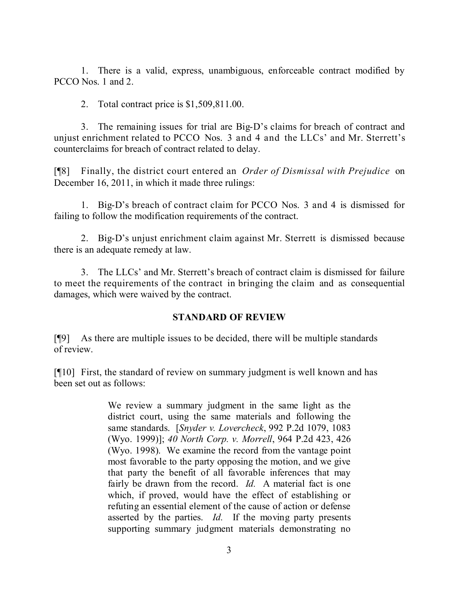1. There is a valid, express, unambiguous, enforceable contract modified by PCCO Nos. 1 and 2.

2. Total contract price is \$1,509,811.00.

3. The remaining issues for trial are Big-D's claims for breach of contract and unjust enrichment related to PCCO Nos. 3 and 4 and the LLCs' and Mr. Sterrett's counterclaims for breach of contract related to delay.

[¶8] Finally, the district court entered an *Order of Dismissal with Prejudice* on December 16, 2011, in which it made three rulings:

1. Big-D's breach of contract claim for PCCO Nos. 3 and 4 is dismissed for failing to follow the modification requirements of the contract.

2. Big-D's unjust enrichment claim against Mr. Sterrett is dismissed because there is an adequate remedy at law.

3. The LLCs' and Mr. Sterrett's breach of contract claim is dismissed for failure to meet the requirements of the contract in bringing the claim and as consequential damages, which were waived by the contract.

#### **STANDARD OF REVIEW**

[¶9] As there are multiple issues to be decided, there will be multiple standards of review.

[¶10] First, the standard of review on summary judgment is well known and has been set out as follows:

> We review a summary judgment in the same light as the district court, using the same materials and following the same standards. [*Snyder v. Lovercheck*, 992 P.2d 1079, 1083 (Wyo. 1999)]; *40 North Corp. v. Morrell*, 964 P.2d 423, 426 (Wyo. 1998). We examine the record from the vantage point most favorable to the party opposing the motion, and we give that party the benefit of all favorable inferences that may fairly be drawn from the record. *Id.* A material fact is one which, if proved, would have the effect of establishing or refuting an essential element of the cause of action or defense asserted by the parties. *Id.* If the moving party presents supporting summary judgment materials demonstrating no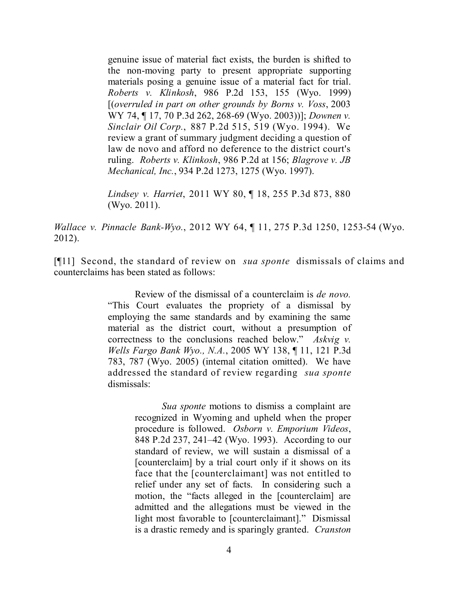genuine issue of material fact exists, the burden is shifted to the non-moving party to present appropriate supporting materials posing a genuine issue of a material fact for trial. *Roberts v. Klinkosh*, 986 P.2d 153, 155 (Wyo. 1999) [(*overruled in part on other grounds by Borns v. Voss*, 2003 WY 74, ¶ 17, 70 P.3d 262, 268-69 (Wyo. 2003))]; *Downen v. Sinclair Oil Corp.*, 887 P.2d 515, 519 (Wyo. 1994). We review a grant of summary judgment deciding a question of law de novo and afford no deference to the district court's ruling. *Roberts v. Klinkosh*, 986 P.2d at 156; *Blagrove v. JB Mechanical, Inc.*, 934 P.2d 1273, 1275 (Wyo. 1997).

*Lindsey v. Harriet*, 2011 WY 80, ¶ 18, 255 P.3d 873, 880 (Wyo. 2011).

*Wallace v. Pinnacle Bank-Wyo.*, 2012 WY 64, ¶ 11, 275 P.3d 1250, 1253-54 (Wyo. 2012).

[¶11] Second, the standard of review on *sua sponte* dismissals of claims and counterclaims has been stated as follows:

> Review of the dismissal of a counterclaim is *de novo.* "This Court evaluates the propriety of a dismissal by employing the same standards and by examining the same material as the district court, without a presumption of correctness to the conclusions reached below." *Askvig v. Wells Fargo Bank Wyo., N.A.*, 2005 WY 138, ¶ 11, 121 P.3d 783, 787 (Wyo. 2005) (internal citation omitted). We have addressed the standard of review regarding *sua sponte* dismissals:

> > *Sua sponte* motions to dismiss a complaint are recognized in Wyoming and upheld when the proper procedure is followed. *Osborn v. Emporium Videos*, 848 P.2d 237, 241–42 (Wyo. 1993). According to our standard of review, we will sustain a dismissal of a [counterclaim] by a trial court only if it shows on its face that the [counterclaimant] was not entitled to relief under any set of facts. In considering such a motion, the "facts alleged in the [counterclaim] are admitted and the allegations must be viewed in the light most favorable to [counterclaimant]." Dismissal is a drastic remedy and is sparingly granted. *Cranston*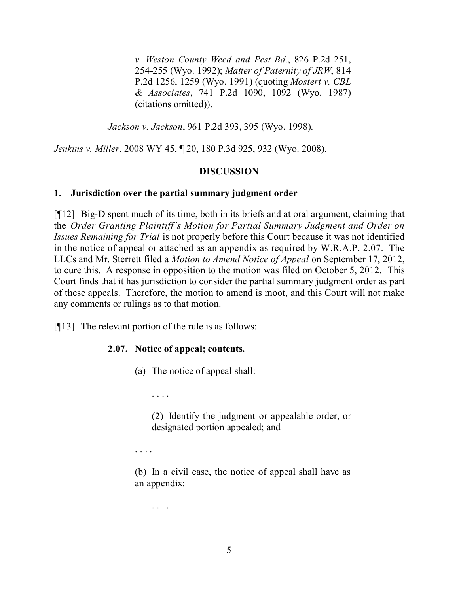*v. Weston County Weed and Pest Bd.*, 826 P.2d 251, 254-255 (Wyo. 1992); *Matter of Paternity of JRW*, 814 P.2d 1256, 1259 (Wyo. 1991) (quoting *Mostert v. CBL & Associates*, 741 P.2d 1090, 1092 (Wyo. 1987) (citations omitted)).

*Jackson v. Jackson*, 961 P.2d 393, 395 (Wyo. 1998).

*Jenkins v. Miller*, 2008 WY 45, ¶ 20, 180 P.3d 925, 932 (Wyo. 2008).

#### **DISCUSSION**

#### **1. Jurisdiction over the partial summary judgment order**

[¶12] Big-D spent much of its time, both in its briefs and at oral argument, claiming that the *Order Granting Plaintiff's Motion for Partial Summary Judgment and Order on Issues Remaining for Trial* is not properly before this Court because it was not identified in the notice of appeal or attached as an appendix as required by W.R.A.P. 2.07. The LLCs and Mr. Sterrett filed a *Motion to Amend Notice of Appeal* on September 17, 2012, to cure this. A response in opposition to the motion was filed on October 5, 2012. This Court finds that it has jurisdiction to consider the partial summary judgment order as part of these appeals. Therefore, the motion to amend is moot, and this Court will not make any comments or rulings as to that motion.

[¶13] The relevant portion of the rule is as follows:

# **2.07. Notice of appeal; contents.**

- (a) The notice of appeal shall:
	- . . . .

(2) Identify the judgment or appealable order, or designated portion appealed; and

. . . .

(b) In a civil case, the notice of appeal shall have as an appendix:

. . . .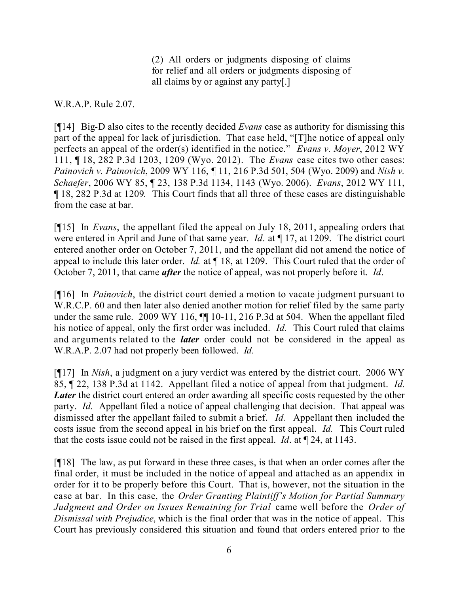(2) All orders or judgments disposing of claims for relief and all orders or judgments disposing of all claims by or against any party[.]

W.R.A.P. Rule 2.07.

[¶14] Big-D also cites to the recently decided *Evans* case as authority for dismissing this part of the appeal for lack of jurisdiction. That case held, "[T]he notice of appeal only perfects an appeal of the order(s) identified in the notice." *Evans v. Moyer*, 2012 WY 111, ¶ 18, 282 P.3d 1203, 1209 (Wyo. 2012). The *Evans* case cites two other cases: *Painovich v. Painovich*, 2009 WY 116, ¶ 11, 216 P.3d 501, 504 (Wyo. 2009) and *Nish v. Schaefer*, 2006 WY 85, ¶ 23, 138 P.3d 1134, 1143 (Wyo. 2006). *Evans*, 2012 WY 111, ¶ 18, 282 P.3d at 1209*.* This Court finds that all three of these cases are distinguishable from the case at bar.

[¶15] In *Evans*, the appellant filed the appeal on July 18, 2011, appealing orders that were entered in April and June of that same year. *Id.* at  $\parallel$  17, at 1209. The district court entered another order on October 7, 2011, and the appellant did not amend the notice of appeal to include this later order. *Id.* at ¶ 18, at 1209. This Court ruled that the order of October 7, 2011, that came *after* the notice of appeal, was not properly before it. *Id*.

[¶16] In *Painovich*, the district court denied a motion to vacate judgment pursuant to W.R.C.P. 60 and then later also denied another motion for relief filed by the same party under the same rule. 2009 WY 116,  $\P$  10-11, 216 P.3d at 504. When the appellant filed his notice of appeal, only the first order was included. *Id.* This Court ruled that claims and arguments related to the *later* order could not be considered in the appeal as W.R.A.P. 2.07 had not properly been followed. *Id.*

[¶17] In *Nish*, a judgment on a jury verdict was entered by the district court. 2006 WY 85, ¶ 22, 138 P.3d at 1142. Appellant filed a notice of appeal from that judgment. *Id. Later* the district court entered an order awarding all specific costs requested by the other party. *Id.* Appellant filed a notice of appeal challenging that decision. That appeal was dismissed after the appellant failed to submit a brief. *Id.* Appellant then included the costs issue from the second appeal in his brief on the first appeal. *Id.* This Court ruled that the costs issue could not be raised in the first appeal. *Id*. at ¶ 24, at 1143.

[¶18] The law, as put forward in these three cases, is that when an order comes after the final order, it must be included in the notice of appeal and attached as an appendix in order for it to be properly before this Court. That is, however, not the situation in the case at bar. In this case, the *Order Granting Plaintiff's Motion for Partial Summary Judgment and Order on Issues Remaining for Trial* came well before the *Order of Dismissal with Prejudice*, which is the final order that was in the notice of appeal. This Court has previously considered this situation and found that orders entered prior to the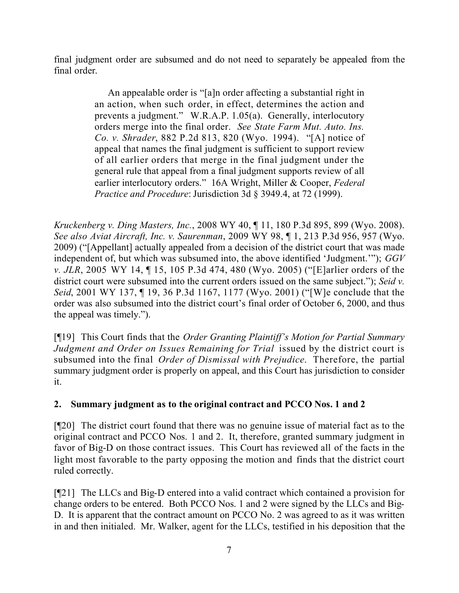final judgment order are subsumed and do not need to separately be appealed from the final order.

> An appealable order is "[a]n order affecting a substantial right in an action, when such order, in effect, determines the action and prevents a judgment." W.R.A.P. 1.05(a). Generally, interlocutory orders merge into the final order. *See State Farm Mut. Auto. Ins. Co. v. Shrader*, 882 P.2d 813, 820 (Wyo. 1994). "[A] notice of appeal that names the final judgment is sufficient to support review of all earlier orders that merge in the final judgment under the general rule that appeal from a final judgment supports review of all earlier interlocutory orders." 16A Wright, Miller & Cooper, *Federal Practice and Procedure*: Jurisdiction 3d § 3949.4, at 72 (1999).

*Kruckenberg v. Ding Masters, Inc.*, 2008 WY 40, ¶ 11, 180 P.3d 895, 899 (Wyo. 2008). *See also Aviat Aircraft, Inc. v. Saurenman*, 2009 WY 98, ¶ 1, 213 P.3d 956, 957 (Wyo. 2009) ("[Appellant] actually appealed from a decision of the district court that was made independent of, but which was subsumed into, the above identified 'Judgment.'"); *GGV v. JLR*, 2005 WY 14, ¶ 15, 105 P.3d 474, 480 (Wyo. 2005) ("[E]arlier orders of the district court were subsumed into the current orders issued on the same subject."); *Seid v. Seid*, 2001 WY 137, ¶ 19, 36 P.3d 1167, 1177 (Wyo. 2001) ("[W]e conclude that the order was also subsumed into the district court's final order of October 6, 2000, and thus the appeal was timely.").

[¶19] This Court finds that the *Order Granting Plaintiff's Motion for Partial Summary Judgment and Order on Issues Remaining for Trial* issued by the district court is subsumed into the final *Order of Dismissal with Prejudice*. Therefore, the partial summary judgment order is properly on appeal, and this Court has jurisdiction to consider it.

# **2. Summary judgment as to the original contract and PCCO Nos. 1 and 2**

[¶20] The district court found that there was no genuine issue of material fact as to the original contract and PCCO Nos. 1 and 2. It, therefore, granted summary judgment in favor of Big-D on those contract issues. This Court has reviewed all of the facts in the light most favorable to the party opposing the motion and finds that the district court ruled correctly.

[¶21] The LLCs and Big-D entered into a valid contract which contained a provision for change orders to be entered. Both PCCO Nos. 1 and 2 were signed by the LLCs and Big-D. It is apparent that the contract amount on PCCO No. 2 was agreed to as it was written in and then initialed. Mr. Walker, agent for the LLCs, testified in his deposition that the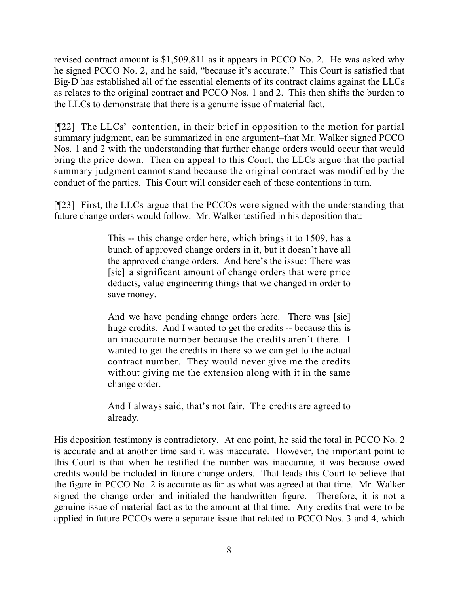revised contract amount is \$1,509,811 as it appears in PCCO No. 2. He was asked why he signed PCCO No. 2, and he said, "because it's accurate." This Court is satisfied that Big-D has established all of the essential elements of its contract claims against the LLCs as relates to the original contract and PCCO Nos. 1 and 2. This then shifts the burden to the LLCs to demonstrate that there is a genuine issue of material fact.

[¶22] The LLCs' contention, in their brief in opposition to the motion for partial summary judgment, can be summarized in one argument–that Mr. Walker signed PCCO Nos. 1 and 2 with the understanding that further change orders would occur that would bring the price down. Then on appeal to this Court, the LLCs argue that the partial summary judgment cannot stand because the original contract was modified by the conduct of the parties. This Court will consider each of these contentions in turn.

[¶23] First, the LLCs argue that the PCCOs were signed with the understanding that future change orders would follow. Mr. Walker testified in his deposition that:

> This -- this change order here, which brings it to 1509, has a bunch of approved change orders in it, but it doesn't have all the approved change orders. And here's the issue: There was [sic] a significant amount of change orders that were price deducts, value engineering things that we changed in order to save money.

> And we have pending change orders here. There was [sic] huge credits. And I wanted to get the credits -- because this is an inaccurate number because the credits aren't there. I wanted to get the credits in there so we can get to the actual contract number. They would never give me the credits without giving me the extension along with it in the same change order.

> And I always said, that's not fair. The credits are agreed to already.

His deposition testimony is contradictory. At one point, he said the total in PCCO No. 2 is accurate and at another time said it was inaccurate. However, the important point to this Court is that when he testified the number was inaccurate, it was because owed credits would be included in future change orders. That leads this Court to believe that the figure in PCCO No. 2 is accurate as far as what was agreed at that time. Mr. Walker signed the change order and initialed the handwritten figure. Therefore, it is not a genuine issue of material fact as to the amount at that time. Any credits that were to be applied in future PCCOs were a separate issue that related to PCCO Nos. 3 and 4, which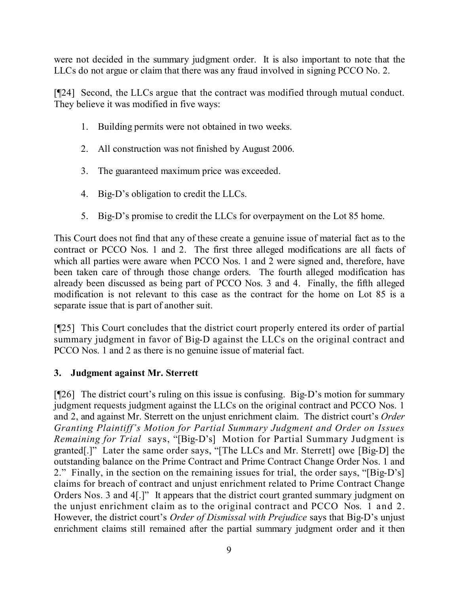were not decided in the summary judgment order. It is also important to note that the LLCs do not argue or claim that there was any fraud involved in signing PCCO No. 2.

[¶24] Second, the LLCs argue that the contract was modified through mutual conduct. They believe it was modified in five ways:

- 1. Building permits were not obtained in two weeks.
- 2. All construction was not finished by August 2006.
- 3. The guaranteed maximum price was exceeded.
- 4. Big-D's obligation to credit the LLCs.
- 5. Big-D's promise to credit the LLCs for overpayment on the Lot 85 home.

This Court does not find that any of these create a genuine issue of material fact as to the contract or PCCO Nos. 1 and 2. The first three alleged modifications are all facts of which all parties were aware when PCCO Nos. 1 and 2 were signed and, therefore, have been taken care of through those change orders. The fourth alleged modification has already been discussed as being part of PCCO Nos. 3 and 4. Finally, the fifth alleged modification is not relevant to this case as the contract for the home on Lot 85 is a separate issue that is part of another suit.

[¶25] This Court concludes that the district court properly entered its order of partial summary judgment in favor of Big-D against the LLCs on the original contract and PCCO Nos. 1 and 2 as there is no genuine issue of material fact.

# **3. Judgment against Mr. Sterrett**

[¶26] The district court's ruling on this issue is confusing. Big-D's motion for summary judgment requests judgment against the LLCs on the original contract and PCCO Nos. 1 and 2, and against Mr. Sterrett on the unjust enrichment claim. The district court's *Order Granting Plaintiff's Motion for Partial Summary Judgment and Order on Issues Remaining for Trial* says, "[Big-D's] Motion for Partial Summary Judgment is granted[.]" Later the same order says, "[The LLCs and Mr. Sterrett] owe [Big-D] the outstanding balance on the Prime Contract and Prime Contract Change Order Nos. 1 and 2." Finally, in the section on the remaining issues for trial, the order says, "[Big-D's] claims for breach of contract and unjust enrichment related to Prime Contract Change Orders Nos. 3 and 4[.]" It appears that the district court granted summary judgment on the unjust enrichment claim as to the original contract and PCCO Nos. 1 and 2. However, the district court's *Order of Dismissal with Prejudice* says that Big-D's unjust enrichment claims still remained after the partial summary judgment order and it then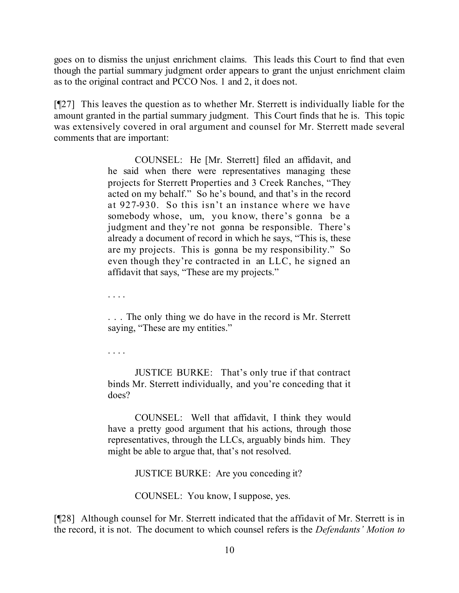goes on to dismiss the unjust enrichment claims. This leads this Court to find that even though the partial summary judgment order appears to grant the unjust enrichment claim as to the original contract and PCCO Nos. 1 and 2, it does not.

[¶27] This leaves the question as to whether Mr. Sterrett is individually liable for the amount granted in the partial summary judgment. This Court finds that he is. This topic was extensively covered in oral argument and counsel for Mr. Sterrett made several comments that are important:

> COUNSEL: He [Mr. Sterrett] filed an affidavit, and he said when there were representatives managing these projects for Sterrett Properties and 3 Creek Ranches, "They acted on my behalf." So he's bound, and that's in the record at 927-930. So this isn't an instance where we have somebody whose, um, you know, there's gonna be a judgment and they're not gonna be responsible. There's already a document of record in which he says, "This is, these are my projects. This is gonna be my responsibility." So even though they're contracted in an LLC, he signed an affidavit that says, "These are my projects."

. . . .

. . . The only thing we do have in the record is Mr. Sterrett saying, "These are my entities."

. . . .

JUSTICE BURKE: That's only true if that contract binds Mr. Sterrett individually, and you're conceding that it does?

COUNSEL: Well that affidavit, I think they would have a pretty good argument that his actions, through those representatives, through the LLCs, arguably binds him. They might be able to argue that, that's not resolved.

JUSTICE BURKE: Are you conceding it?

COUNSEL: You know, I suppose, yes.

[¶28] Although counsel for Mr. Sterrett indicated that the affidavit of Mr. Sterrett is in the record, it is not. The document to which counsel refers is the *Defendants' Motion to*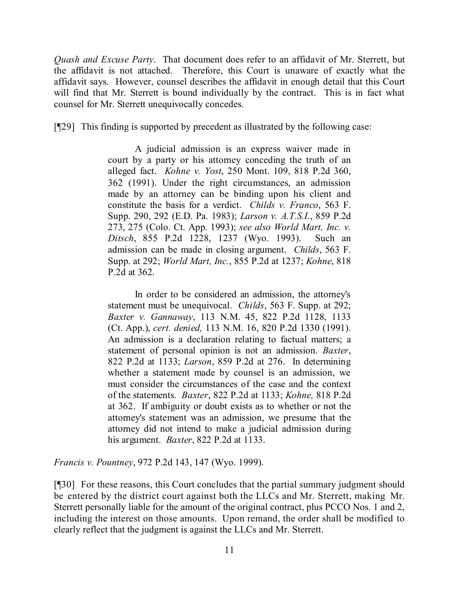*Quash and Excuse Party*. That document does refer to an affidavit of Mr. Sterrett, but the affidavit is not attached. Therefore, this Court is unaware of exactly what the affidavit says. However, counsel describes the affidavit in enough detail that this Court will find that Mr. Sterrett is bound individually by the contract. This is in fact what counsel for Mr. Sterrett unequivocally concedes.

[¶29] This finding is supported by precedent as illustrated by the following case:

A judicial admission is an express waiver made in court by a party or his attorney conceding the truth of an alleged fact. *Kohne v. Yost*, 250 Mont. 109, 818 P.2d 360, 362 (1991). Under the right circumstances, an admission made by an attorney can be binding upon his client and constitute the basis for a verdict. *Childs v. Franco*, 563 F. Supp. 290, 292 (E.D. Pa. 1983); *Larson v. A.T.S.I.*, 859 P.2d 273, 275 (Colo. Ct. App. 1993); *see also World Mart, Inc. v. Ditsch*, 855 P.2d 1228, 1237 (Wyo. 1993). Such an admission can be made in closing argument. *Childs*, 563 F. Supp. at 292; *World Mart, Inc.*, 855 P.2d at 1237; *Kohne*, 818 P.2d at 362.

In order to be considered an admission, the attorney's statement must be unequivocal. *Childs*, 563 F. Supp. at 292; *Baxter v. Gannaway*, 113 N.M. 45, 822 P.2d 1128, 1133 (Ct. App.), *cert. denied,* 113 N.M. 16, 820 P.2d 1330 (1991). An admission is a declaration relating to factual matters; a statement of personal opinion is not an admission. *Baxter*, 822 P.2d at 1133; *Larson*, 859 P.2d at 276. In determining whether a statement made by counsel is an admission, we must consider the circumstances of the case and the context of the statements. *Baxter*, 822 P.2d at 1133; *Kohne,* 818 P.2d at 362. If ambiguity or doubt exists as to whether or not the attorney's statement was an admission, we presume that the attorney did not intend to make a judicial admission during his argument. *Baxter*, 822 P.2d at 1133.

*Francis v. Pountney*, 972 P.2d 143, 147 (Wyo. 1999).

[¶30] For these reasons, this Court concludes that the partial summary judgment should be entered by the district court against both the LLCs and Mr. Sterrett, making Mr. Sterrett personally liable for the amount of the original contract, plus PCCO Nos. 1 and 2, including the interest on those amounts. Upon remand, the order shall be modified to clearly reflect that the judgment is against the LLCs and Mr. Sterrett.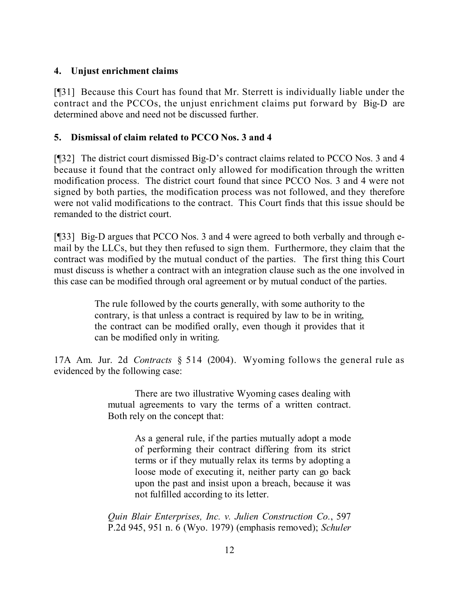# **4. Unjust enrichment claims**

[¶31] Because this Court has found that Mr. Sterrett is individually liable under the contract and the PCCOs, the unjust enrichment claims put forward by Big-D are determined above and need not be discussed further.

# **5. Dismissal of claim related to PCCO Nos. 3 and 4**

[¶32] The district court dismissed Big-D's contract claims related to PCCO Nos. 3 and 4 because it found that the contract only allowed for modification through the written modification process. The district court found that since PCCO Nos. 3 and 4 were not signed by both parties, the modification process was not followed, and they therefore were not valid modifications to the contract. This Court finds that this issue should be remanded to the district court.

[¶33] Big-D argues that PCCO Nos. 3 and 4 were agreed to both verbally and through email by the LLCs, but they then refused to sign them. Furthermore, they claim that the contract was modified by the mutual conduct of the parties. The first thing this Court must discuss is whether a contract with an integration clause such as the one involved in this case can be modified through oral agreement or by mutual conduct of the parties.

> The rule followed by the courts generally, with some authority to the contrary, is that unless a contract is required by law to be in writing, the contract can be modified orally, even though it provides that it can be modified only in writing.

17A Am. Jur. 2d *Contracts* § 514 (2004). Wyoming follows the general rule as evidenced by the following case:

> There are two illustrative Wyoming cases dealing with mutual agreements to vary the terms of a written contract. Both rely on the concept that:

> > As a general rule, if the parties mutually adopt a mode of performing their contract differing from its strict terms or if they mutually relax its terms by adopting a loose mode of executing it, neither party can go back upon the past and insist upon a breach, because it was not fulfilled according to its letter.

*Quin Blair Enterprises, Inc. v. Julien Construction Co.*, 597 P.2d 945, 951 n. 6 (Wyo. 1979) (emphasis removed); *Schuler*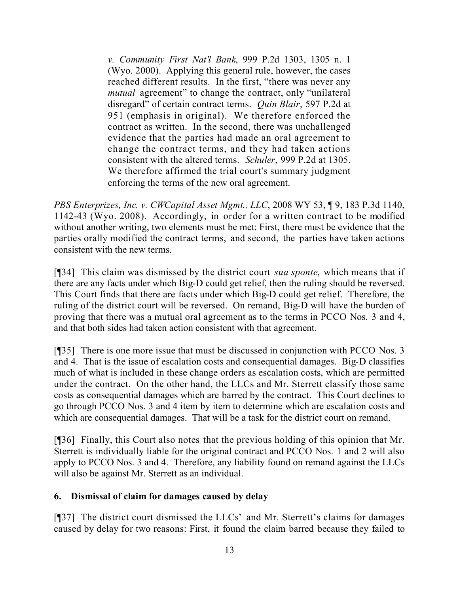*v. Community First Nat'l Bank*, 999 P.2d 1303, 1305 n. 1 (Wyo. 2000). Applying this general rule, however, the cases reached different results. In the first, "there was never any *mutual* agreement" to change the contract, only "unilateral disregard" of certain contract terms. *Quin Blair*, 597 P.2d at 951 (emphasis in original). We therefore enforced the contract as written. In the second, there was unchallenged evidence that the parties had made an oral agreement to change the contract terms, and they had taken actions consistent with the altered terms. *Schuler*, 999 P.2d at 1305. We therefore affirmed the trial court's summary judgment enforcing the terms of the new oral agreement.

*PBS Enterprizes, Inc. v. CWCapital Asset Mgmt., LLC*, 2008 WY 53, ¶ 9, 183 P.3d 1140, 1142-43 (Wyo. 2008). Accordingly, in order for a written contract to be modified without another writing, two elements must be met: First, there must be evidence that the parties orally modified the contract terms, and second, the parties have taken actions consistent with the new terms.

[¶34] This claim was dismissed by the district court *sua sponte*, which means that if there are any facts under which Big-D could get relief, then the ruling should be reversed. This Court finds that there are facts under which Big-D could get relief. Therefore, the ruling of the district court will be reversed. On remand, Big-D will have the burden of proving that there was a mutual oral agreement as to the terms in PCCO Nos. 3 and 4, and that both sides had taken action consistent with that agreement.

[¶35] There is one more issue that must be discussed in conjunction with PCCO Nos. 3 and 4. That is the issue of escalation costs and consequential damages. Big-D classifies much of what is included in these change orders as escalation costs, which are permitted under the contract. On the other hand, the LLCs and Mr. Sterrett classify those same costs as consequential damages which are barred by the contract. This Court declines to go through PCCO Nos. 3 and 4 item by item to determine which are escalation costs and which are consequential damages. That will be a task for the district court on remand.

[¶36] Finally, this Court also notes that the previous holding of this opinion that Mr. Sterrett is individually liable for the original contract and PCCO Nos. 1 and 2 will also apply to PCCO Nos. 3 and 4. Therefore, any liability found on remand against the LLCs will also be against Mr. Sterrett as an individual.

# **6. Dismissal of claim for damages caused by delay**

[¶37] The district court dismissed the LLCs' and Mr. Sterrett's claims for damages caused by delay for two reasons: First, it found the claim barred because they failed to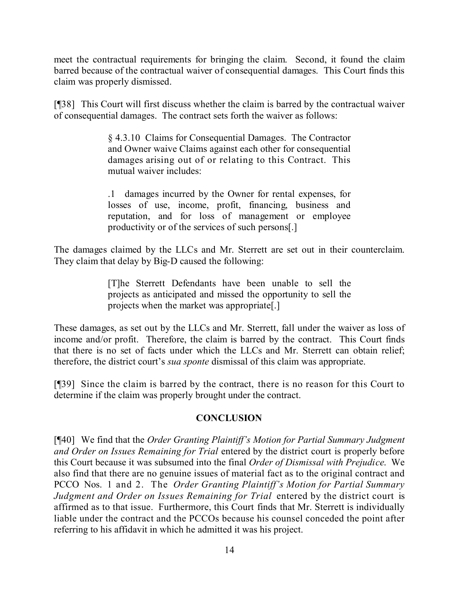meet the contractual requirements for bringing the claim. Second, it found the claim barred because of the contractual waiver of consequential damages. This Court finds this claim was properly dismissed.

[¶38] This Court will first discuss whether the claim is barred by the contractual waiver of consequential damages. The contract sets forth the waiver as follows:

> § 4.3.10 Claims for Consequential Damages. The Contractor and Owner waive Claims against each other for consequential damages arising out of or relating to this Contract. This mutual waiver includes:

> .1 damages incurred by the Owner for rental expenses, for losses of use, income, profit, financing, business and reputation, and for loss of management or employee productivity or of the services of such persons[.]

The damages claimed by the LLCs and Mr. Sterrett are set out in their counterclaim. They claim that delay by Big-D caused the following:

> [T]he Sterrett Defendants have been unable to sell the projects as anticipated and missed the opportunity to sell the projects when the market was appropriate[.]

These damages, as set out by the LLCs and Mr. Sterrett, fall under the waiver as loss of income and/or profit. Therefore, the claim is barred by the contract. This Court finds that there is no set of facts under which the LLCs and Mr. Sterrett can obtain relief; therefore, the district court's *sua sponte* dismissal of this claim was appropriate.

[¶39] Since the claim is barred by the contract, there is no reason for this Court to determine if the claim was properly brought under the contract.

# **CONCLUSION**

[¶40] We find that the *Order Granting Plaintiff's Motion for Partial Summary Judgment and Order on Issues Remaining for Trial* entered by the district court is properly before this Court because it was subsumed into the final *Order of Dismissal with Prejudice*. We also find that there are no genuine issues of material fact as to the original contract and PCCO Nos. 1 and 2. The *Order Granting Plaintiff's Motion for Partial Summary Judgment and Order on Issues Remaining for Trial* entered by the district court is affirmed as to that issue. Furthermore, this Court finds that Mr. Sterrett is individually liable under the contract and the PCCOs because his counsel conceded the point after referring to his affidavit in which he admitted it was his project.